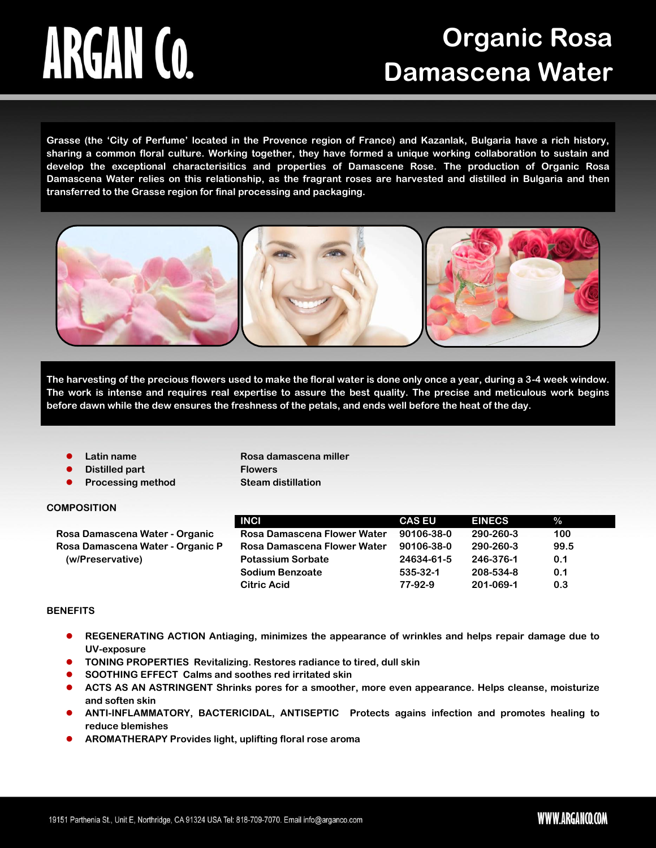# ARGAN CO.

# **Organic Rosa Damascena Water**

**Grasse (the 'City of Perfume' located in the Provence region of France) and Kazanlak, Bulgaria have a rich history, sharing a common floral culture. Working together, they have formed a unique working collaboration to sustain and develop the exceptional characterisitics and properties of Damascene Rose. The production of Organic Rosa Damascena Water relies on this relationship, as the fragrant roses are harvested and distilled in Bulgaria and then transferred to the Grasse region for final processing and packaging.**



**The harvesting of the precious flowers used to make the floral water is done only once a year, during a 3-4 week window. The work is intense and requires real expertise to assure the best quality. The precise and meticulous work begins before dawn while the dew ensures the freshness of the petals, and ends well before the heat of the day.** 

- 
- **Distilled part Flowers**
- **Processing method Steam distillation**

**Latin name Rosa damascena miller**

### **COMPOSITION**

|                                  | <b>INCI</b>                 | <b>CAS EU</b> | <b>EINECS</b> | $\%$ |
|----------------------------------|-----------------------------|---------------|---------------|------|
| Rosa Damascena Water - Organic   | Rosa Damascena Flower Water | 90106-38-0    | 290-260-3     | 100  |
| Rosa Damascena Water - Organic P | Rosa Damascena Flower Water | 90106-38-0    | 290-260-3     | 99.5 |
| (w/Preservative)                 | <b>Potassium Sorbate</b>    | 24634-61-5    | 246-376-1     | 0.1  |
|                                  | Sodium Benzoate             | 535-32-1      | 208-534-8     | 0.1  |
|                                  | <b>Citric Acid</b>          | 77-92-9       | 201-069-1     | 0.3  |

### **BENEFITS**

- **REGENERATING ACTION Antiaging, minimizes the appearance of wrinkles and helps repair damage due to UV-exposure**
- **TONING PROPERTIES Revitalizing. Restores radiance to tired, dull skin**
- **SOOTHING EFFECT Calms and soothes red irritated skin**
- **ACTS AS AN ASTRINGENT Shrinks pores for a smoother, more even appearance. Helps cleanse, moisturize and soften skin**
- **ANTI-INFLAMMATORY, BACTERICIDAL, ANTISEPTIC Protects agains infection and promotes healing to reduce blemishes**
- **AROMATHERAPY Provides light, uplifting floral rose aroma**